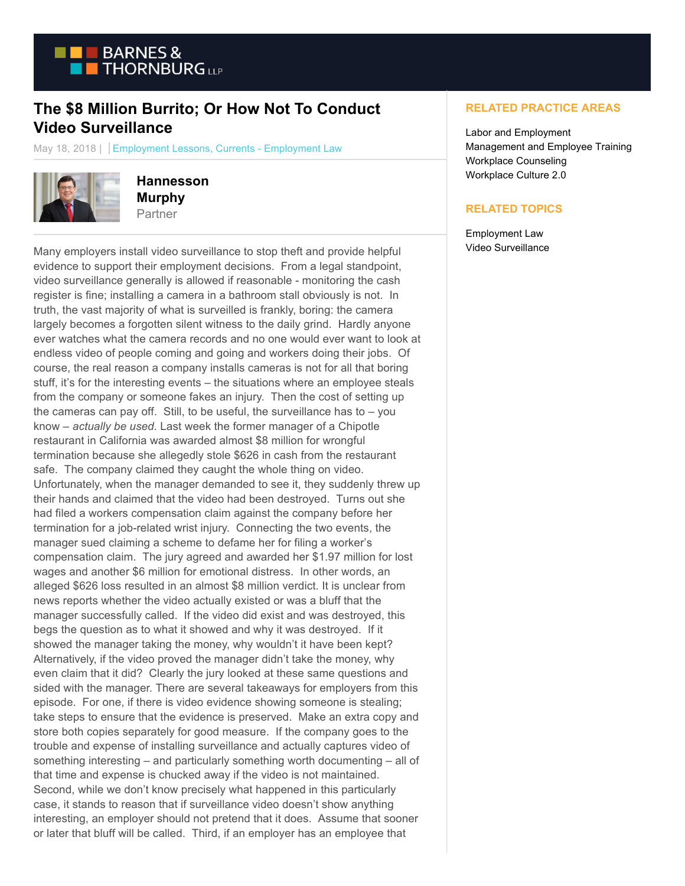

## **The \$8 Million Burrito; Or How Not To Conduct Video Surveillance**

May 18, 2018 | Employment Lessons, Currents - Employment Law



**Hannesson Murphy** Partner

Many employers install video surveillance to stop theft and provide helpful evidence to support their employment decisions. From a legal standpoint, video surveillance generally is allowed if reasonable - monitoring the cash register is fine; installing a camera in a bathroom stall obviously is not. In truth, the vast majority of what is surveilled is frankly, boring: the camera largely becomes a forgotten silent witness to the daily grind. Hardly anyone ever watches what the camera records and no one would ever want to look at endless video of people coming and going and workers doing their jobs. Of course, the real reason a company installs cameras is not for all that boring stuff, it's for the interesting events – the situations where an employee steals from the company or someone fakes an injury. Then the cost of setting up the cameras can pay off. Still, to be useful, the surveillance has to  $-$  you know – *actually be used*. Last week the former manager of a Chipotle restaurant in California was awarded almost \$8 million for wrongful termination because she allegedly stole \$626 in cash from the restaurant safe. The company claimed they caught the whole thing on video. Unfortunately, when the manager demanded to see it, they suddenly threw up their hands and claimed that the video had been destroyed. Turns out she had filed a workers compensation claim against the company before her termination for a job-related wrist injury. Connecting the two events, the manager sued claiming a scheme to defame her for filing a worker's compensation claim. The jury agreed and awarded her \$1.97 million for lost wages and another \$6 million for emotional distress. In other words, an alleged \$626 loss resulted in an almost \$8 million verdict. It is unclear from news reports whether the video actually existed or was a bluff that the manager successfully called. If the video did exist and was destroyed, this begs the question as to what it showed and why it was destroyed. If it showed the manager taking the money, why wouldn't it have been kept? Alternatively, if the video proved the manager didn't take the money, why even claim that it did? Clearly the jury looked at these same questions and sided with the manager. There are several takeaways for employers from this episode. For one, if there is video evidence showing someone is stealing; take steps to ensure that the evidence is preserved. Make an extra copy and store both copies separately for good measure. If the company goes to the trouble and expense of installing surveillance and actually captures video of something interesting – and particularly something worth documenting – all of that time and expense is chucked away if the video is not maintained. Second, while we don't know precisely what happened in this particularly case, it stands to reason that if surveillance video doesn't show anything interesting, an employer should not pretend that it does. Assume that sooner or later that bluff will be called. Third, if an employer has an employee that

## **RELATED PRACTICE AREAS**

Labor and Employment Management and Employee Training Workplace Counseling Workplace Culture 2.0

## **RELATED TOPICS**

Employment Law Video Surveillance